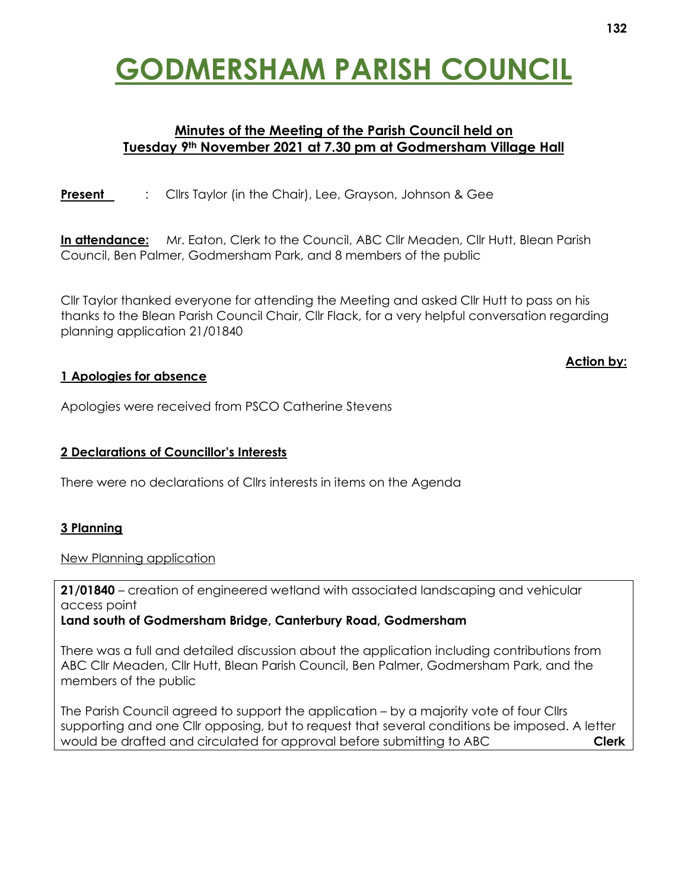# **GODMERSHAM PARISH COUNCIL**

## **Minutes of the Meeting of the Parish Council held on Tuesday 9th November 2021 at 7.30 pm at Godmersham Village Hall**

**Present** : Clirs Taylor (in the Chair), Lee, Grayson, Johnson & Gee

**In attendance:** Mr. Eaton, Clerk to the Council, ABC Cllr Meaden, Cllr Hutt, Blean Parish Council, Ben Palmer, Godmersham Park, and 8 members of the public

Cllr Taylor thanked everyone for attending the Meeting and asked Cllr Hutt to pass on his thanks to the Blean Parish Council Chair, Cllr Flack, for a very helpful conversation regarding planning application 21/01840

## **1 Apologies for absence**

Apologies were received from PSCO Catherine Stevens

## **2 Declarations of Councillor's Interests**

There were no declarations of Cllrs interests in items on the Agenda

## **3 Planning**

New Planning application

**21/01840** – creation of engineered wetland with associated landscaping and vehicular access point

**Land south of Godmersham Bridge, Canterbury Road, Godmersham**

There was a full and detailed discussion about the application including contributions from ABC Cllr Meaden, Cllr Hutt, Blean Parish Council, Ben Palmer, Godmersham Park, and the members of the public

The Parish Council agreed to support the application – by a majority vote of four Cllrs supporting and one Cllr opposing, but to request that several conditions be imposed. A letter would be drafted and circulated for approval before submitting to ABC **Clerk** 

#### **Action by:**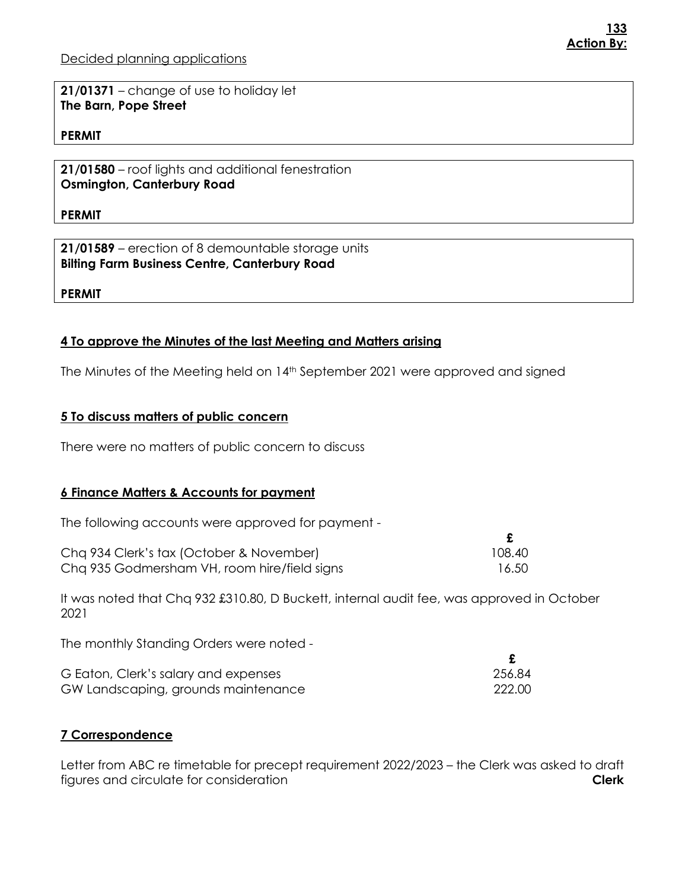**21/01371** – change of use to holiday let **The Barn, Pope Street**

#### **PERMIT**

**21/01580** – roof lights and additional fenestration **Osmington, Canterbury Road**

**PERMIT**

**21/01589** – erection of 8 demountable storage units **Bilting Farm Business Centre, Canterbury Road**

**PERMIT**

#### **4 To approve the Minutes of the last Meeting and Matters arising**

The Minutes of the Meeting held on 14<sup>th</sup> September 2021 were approved and signed

#### **5 To discuss matters of public concern**

There were no matters of public concern to discuss

#### **6 Finance Matters & Accounts for payment**

The following accounts were approved for payment -

| Cha 934 Clerk's tax (October & November)     | 108.40 |
|----------------------------------------------|--------|
| Cha 935 Godmersham VH, room hire/field signs | 16.50  |

It was noted that Chq 932 £310.80, D Buckett, internal audit fee, was approved in October 2021

The monthly Standing Orders were noted -

| G Eaton, Clerk's salary and expenses | 256.84 |
|--------------------------------------|--------|
| GW Landscaping, grounds maintenance  | 222.00 |

#### **7 Correspondence**

Letter from ABC re timetable for precept requirement 2022/2023 – the Clerk was asked to draft figures and circulate for consideration **Clerk**